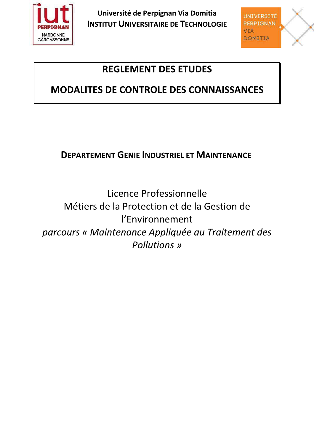

Université de Perpignan Via Domitia **INSTITUT UNIVERSITAIRE DE TECHNOLOGIE** 



# **REGLEMENT DES ETUDES**

# MODALITES DE CONTROLE DES CONNAISSANCES

## **DEPARTEMENT GENIE INDUSTRIEL ET MAINTENANCE**

Licence Professionnelle Métiers de la Protection et de la Gestion de l'Environnement parcours « Maintenance Appliquée au Traitement des **Pollutions** »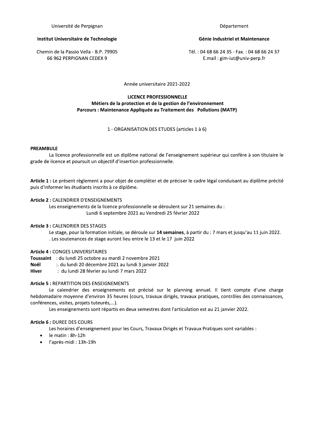Université de Perpignan

#### Institut Universitaire de Technologie

Chemin de la Passio Vella - B.P. 79905 66 962 PERPIGNAN CEDEX 9

#### Génie Industriel et Maintenance

Tél.: 04 68 66 24 35 - Fax.: 04 68 66 24 37 E.mail: gim-iut@univ-perp.fr

Année universitaire 2021-2022

### **LICENCE PROFESSIONNELLE** Métiers de la protection et de la gestion de l'environnement Parcours : Maintenance Appliquée au Traitement des Pollutions (MATP)

#### 1 - ORGANISATION DES ETUDES (articles 1 à 6)

#### **PREAMBULE**

La licence professionnelle est un diplôme national de l'enseignement supérieur qui confère à son titulaire le grade de licence et poursuit un objectif d'insertion professionnelle.

Article 1 : Le présent règlement a pour objet de compléter et de préciser le cadre légal conduisant au diplôme précité puis d'informer les étudiants inscrits à ce diplôme.

#### Article 2 : CALENDRIER D'ENSEIGNEMENTS

Les enseignements de la licence professionnelle se déroulent sur 21 semaines du : Lundi 6 septembre 2021 au Vendredi 25 février 2022

#### **Article 3: CALENDRIER DES STAGES**

Le stage, pour la formation initiale, se déroule sur 14 semaines, à partir du : 7 mars et jusqu'au 11 juin 2022. . Les soutenances de stage auront lieu entre le 13 et le 17 juin 2022

#### **Article 4: CONGES UNIVERSITAIRES**

Toussaint: du lundi 25 octobre au mardi 2 novembre 2021

**Noël** :. du lundi 20 décembre 2021 au lundi 3 janvier 2022

: du lundi 28 février au lundi 7 mars 2022 **Hiver** 

#### **Article 5: REPARTITION DES ENSEIGNEMENTS**

Le calendrier des enseignements est précisé sur le planning annuel. Il tient compte d'une charge hebdomadaire moyenne d'environ 35 heures (cours, travaux dirigés, travaux pratiques, contrôles des connaissances, conférences, visites, projets tuteurés,...).

Les enseignements sont répartis en deux semestres dont l'articulation est au 21 janvier 2022.

## Article 6 : DUREE DES COURS

Les horaires d'enseignement pour les Cours, Travaux Dirigés et Travaux Pratiques sont variables :

- le matin : 8h-12h
- l'après-midi : 13h-19h  $\bullet$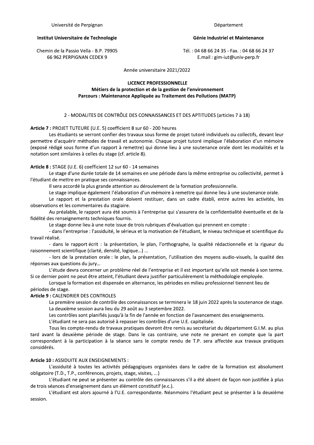Université de Perpignan

Département

#### Institut Universitaire de Technologie

Chemin de la Passio Vella - B.P. 79905 66 962 PERPIGNAN CEDEX 9

#### Génie Industriel et Maintenance

Tél.: 04 68 66 24 35 - Fax.: 04 68 66 24 37 E.mail: gim-iut@univ-perp.fr

Année universitaire 2021/2022

#### **LICENCE PROFESSIONNELLE**

Métiers de la protection et de la gestion de l'environnement Parcours : Maintenance Appliquée au Traitement des Pollutions (MATP)

#### 2 - MODALITES DE CONTRÔLE DES CONNAISSANCES ET DES APTITUDES (articles 7 à 18)

Article 7 : PROJET TUTEURE (U.E. 5) coefficient 8 sur 60 - 200 heures

Les étudiants se verront confier des travaux sous forme de projet tutoré individuels ou collectifs, devant leur permettre d'acquérir méthodes de travail et autonomie. Chaque projet tutoré implique l'élaboration d'un mémoire (exposé rédigé sous forme d'un rapport à remettre) qui donne lieu à une soutenance orale dont les modalités et la notation sont similaires à celles du stage (cf. article 8).

#### Article 8 : STAGE (U.E. 6) coefficient 12 sur 60 - 14 semaines

Le stage d'une durée totale de 14 semaines en une période dans la même entreprise ou collectivité, permet à l'étudiant de mettre en pratique ses connaissances.

Il sera accordé la plus grande attention au déroulement de la formation professionnelle.

Le stage implique également l'élaboration d'un mémoire à remettre qui donne lieu à une soutenance orale.

Le rapport et la prestation orale doivent restituer, dans un cadre établi, entre autres les activités, les observations et les commentaires du stagiaire.

Au préalable, le rapport aura été soumis à l'entreprise qui s'assurera de la confidentialité éventuelle et de la fidélité des renseignements techniques fournis.

Le stage donne lieu à une note issue de trois rubriques d'évaluation qui prennent en compte :

- dans l'entreprise : l'assiduité, le sérieux et la motivation de l'étudiant, le niveau technique et scientifique du travail réalisé.

- dans le rapport écrit : la présentation, le plan, l'orthographe, la qualité rédactionnelle et la rigueur du raisonnement scientifique (clarté, densité, logique...) ...

- lors de la prestation orale : le plan, la présentation, l'utilisation des moyens audio-visuels, la qualité des réponses aux questions du jury...

L'étude devra concerner un problème réel de l'entreprise et il est important qu'elle soit menée à son terme. Si ce dernier point ne peut être atteint, l'étudiant devra justifier particulièrement la méthodologie employée.

Lorsque la formation est dispensée en alternance, les périodes en milieu professionnel tiennent lieu de périodes de stage.

#### Article 9 : CALENDRIER DES CONTROLES

La première session de contrôle des connaissances se terminera le 18 juin 2022 après la soutenance de stage. La deuxième session aura lieu du 29 août au 3 septembre 2022.

Les contrôles sont planifiés jusqu'à la fin de l'année en fonction de l'avancement des enseignements.

L'étudiant ne sera pas autorisé à repasser les contrôles d'une U.E. capitalisée.

Tous les compte-rendu de travaux pratiques devront être remis au secrétariat du département G.I.M. au plus tard avant la deuxième période de stage. Dans le cas contraire, une note ne prenant en compte que la part correspondant à la participation à la séance sans le compte rendu de T.P. sera affectée aux travaux pratiques considérés.

#### Article 10 : ASSIDUITE AUX ENSEIGNEMENTS :

L'assiduité à toutes les activités pédagogiques organisées dans le cadre de la formation est absolument obligatoire (T.D., T.P., conférences, projets, stage, visites, ...)

L'étudiant ne peut se présenter au contrôle des connaissances s'il a été absent de façon non justifiée à plus de trois séances d'enseignement dans un élément constitutif (e.c.).

L'étudiant est alors ajourné à l'U.E. correspondante. Néanmoins l'étudiant peut se présenter à la deuxième session.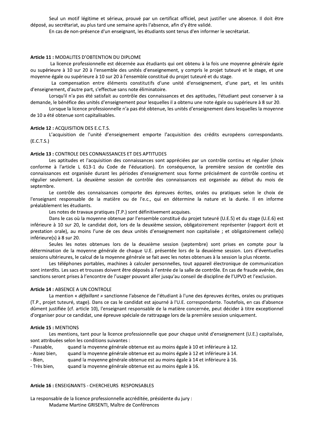Seul un motif legitime et serieux, prouve par un certificat officiel, peut justifier une absence. Il doit etre depose, au secretariat, au plus tard une semaine apres l'absence, afin d'y etre valide.

En cas de non-presence d'un enseignant, les étudiants sont tenus d'en informer le secretariat.

Seul un motif légitime et sérieux, prouvé pa<br>
déposé, au secrétariat, au plus tard une semaine après<br>
En cas de non-présence d'un enseignant, les é<br>
En cas de non-présence d'un enseignant, les é<br> **Article 11 :** MODALITES D essionnelle est decernee aux etudiants qui ont obtenu à la fois une moyenne generale egale ou superieure a 10 sur 20 a l'ensemble des unites d'enseignement, y compris le projet tuteure et le stage, et une moyenne egale ou superieure a 10 sur 20 a l'ensemble constitue du projet tuteure et du stage.

La compensation entre elements constitutifs d'une unite d'enseignement, d'une part, et les unites d'enseignement, d'autre part, s'éffectue sans note eliminatoire.

Lorsqu'il n'a pas ete satisfait au controle des connaissances et des aptitudes, l'etudiant peut conserver a sa demande, le benefice des unites d'enseignement pour lesquelles il a obtenu une note egale ou superieure a 8 sur 20.

Lorsque la licènce professionnelle n'a pas eté obtenue, les unites d'enseignement dans lesquelles la moyenne de 10 a ete obtenue sont capitalisables.

#### Article 12 : ACQUISITION DES E.C.T.S.

L'acquisition de l'unité d'enseignement emporte l'acquisition des crédits européens correspondants.  $(E.C.T.S.)$ 

#### Article 13 : CONTROLE DES CONNAISSANCES ET DES APTITUDES

La compensation entre élém<br>
d'enseignement, d'autre part, s'effectue<br>
Lorsqu'il n'a pas été satisfait au<br>
demande, le bénéfice des unités d'ensei<sub>l</sub><br>
Lorsque la licence professionne<br>
de 10 a été obtenue sont capitalisables teriande, it because a cincept linearce professionnelle n'a pas été obtenue, les<br>
de 10 a été obtenue sont capitalisables.<br> **Article 12 :** ACQUISITION DES E.C.T.S.<br>
L'acquisition de l'unité d'enseignement emporte l'ac<br>
(E. des et l'acquisition des connaissances sont appreciees par un controle continu et regulier (choix conforme a l'article L 613-1 du Code de l'education). En consequence, la premiere session de controle des connaissances est organisee durant les periodes d'enseignement sous forme precisement de controle continu et regulier seulement. La deuxieme session de controle des connaissances est organisee au debut du mois de

septembre.<br>Le contrôle des connaissances comporte des épreuves écrites, orales ou pratiques selon le choix de l'enseignant responsable de la matiere ou de l'e.c., qui en determine la nature et la duree. Il en informe prealablement les étudiants.

Les notes de travaux pratiques (T.P.) sont definitivement acquises.

Dans le cas ou la moyenne obtenue par l'ensemble constitue du projet tuteure (U.E.5) et du stage (U.E.6) est inferieure a 10 sur 20, le candidat doit, lors de la deuxieme session, obligatoirement representer (rapport ecrit et prestation orale), au moins l'une de ces deux unités d'enseignement non capitalisée ; et obligatoirement celle(s) inferieure(s) a 8 sur 20.

Seules les notes obtenues lors de la deuxieme session (septembre) sont prises en compte pour la détermination de la moyenne générale de chaque U.E. présentée lors de la deuxième session. Lors d'éventuelles sessions ulterieures, le calcul de la moyenne generale se fait avec les notes obtenues a la session la plus recente.

Les telephones portables, machines a calculer personnelles, tout appareil electronique de communication sont interdits. Les sacs et trousses doivent etre deposes a l'entree de la salle de controle. En cas de fraude averee, des sanctions seront prises à l'encontre de l'usager pouvant aller jusqu'au conseil de discipline de l'UPVD et l'exclusion.

#### Article 14 : ABSENCE A UN CONTROLE

Seules les notes obtenues lors de la deuxième session (septembre) sont prises en compte pour la<br>détermination de la moyenne générale de chaque U.E. présentée lors de la deuxième session. Lors d'éventuelles<br>sessions ultérie teure, stage). Dans ce cas le candidat est ajourne à l'U.E. correspondante. Toutefois, en cas d'absence dument justifiee (cf. article 10), l'enseignant responsable de la matiere concernee, peut decider a titre exceptionnel d'organiser pour ce candidat, une epreuve speciale de rattrapage lors de la premiere session uniquement. Sanctions seront prises a rencontre de l'usager pouvant<br>
Article 14 : ABSENCE A UN CONTROLE<br>
La mention « défaillant » sanctionne l'absence<br>
(T.P., projet tuteuré, stage). Dans ce cas le candidat es<br>
d'organiser pour ce ca

r la licence professionnelle que pour chaque unite d'enseignement (U.E.) capitalisee,

- sont attribuees selon les conditions suivantes :<br>- Passable, ``````quand la moyenne générale obt and la moyenne generale obtenue est au moins egale a 10 et inferieur $\cdot$
- Passable, la quand la moyenne generale obtenue est au moins egale a 10 et inferieure a 12.<br>- Assez bien, la quand la moyenne générale obtenue est au moins égale à 12 et inférieure à 14.
- Assez bien, a quand la moyenne generale obtenue est au moins egale a 12 et inferieure a 14.<br>- Bien, sure a quand la moyenne générale obtenue est au moins égale à 14 et inférieure à 16.<br>-- Bien, comparen en la moyenne generale obtenue est au moins egale a 14 et inferieure a 16.<br>- Très bien, comparent la moyenne générale obtenue est au moins égale à 16.

Experiencions, and income conditions suivantes:<br>
Sont attribuées selon les conditions suivantes :<br>
- Passable, quand la moyenne générale obtenue est au<br>
- Assez bien, quand la moyenne générale obtenue est au<br>
- Très bien, La responsable de la licence professionnelle accreditee, presidente du jury : Madame Martine GRISENTI, Maitre de Conferences